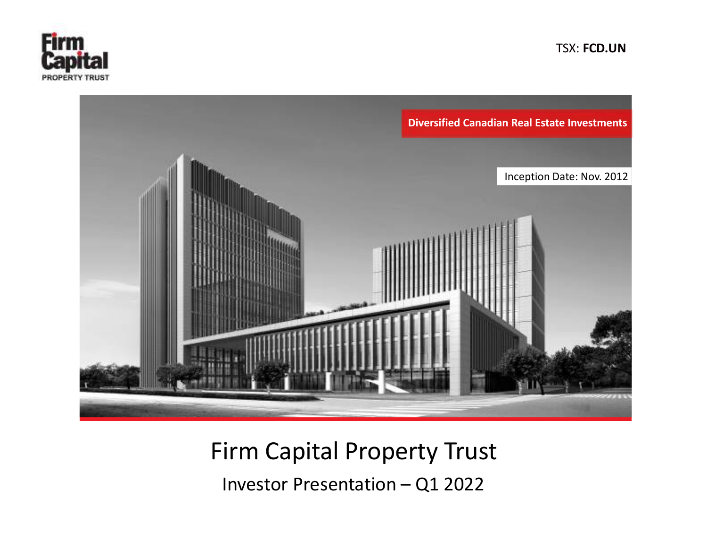

TSX: FCD.UN



# Firm Capital Property Trust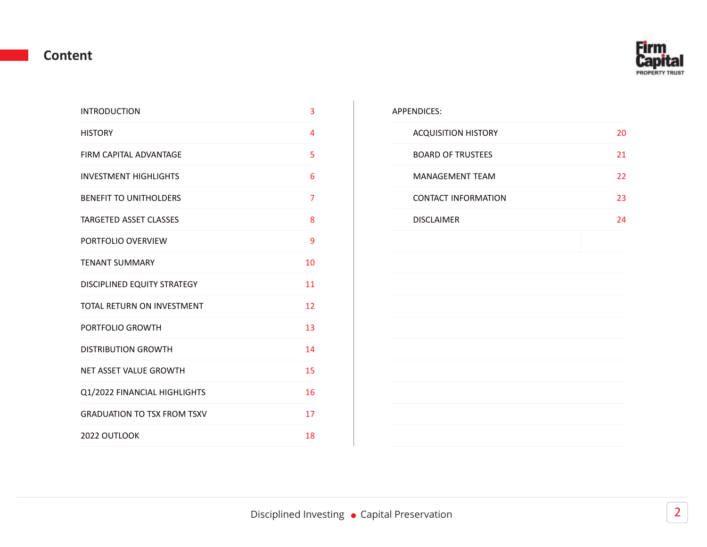#### Content

| <b>INTRODUCTION</b>                | 3              | APPENDICES:                |    |
|------------------------------------|----------------|----------------------------|----|
| <b>HISTORY</b>                     | 4              | <b>ACQUISITION HISTORY</b> | 20 |
| FIRM CAPITAL ADVANTAGE             | 5              | <b>BOARD OF TRUSTEES</b>   | 21 |
| <b>INVESTMENT HIGHLIGHTS</b>       | 6              | <b>MANAGEMENT TEAM</b>     | 22 |
| <b>BENEFIT TO UNITHOLDERS</b>      | $\overline{7}$ | <b>CONTACT INFORMATION</b> | 23 |
| TARGETED ASSET CLASSES             | 8              | <b>DISCLAIMER</b>          | 24 |
| PORTFOLIO OVERVIEW                 | 9              |                            |    |
| <b>TENANT SUMMARY</b>              | 10             |                            |    |
| DISCIPLINED EQUITY STRATEGY        | 11             |                            |    |
| TOTAL RETURN ON INVESTMENT         | 12             |                            |    |
| PORTFOLIO GROWTH                   | 13             |                            |    |
| <b>DISTRIBUTION GROWTH</b>         | 14             |                            |    |
| NET ASSET VALUE GROWTH             | 15             |                            |    |
| Q1/2022 FINANCIAL HIGHLIGHTS       | 16             |                            |    |
| <b>GRADUATION TO TSX FROM TSXV</b> | 17             |                            |    |
| 2022 OUTLOOK                       | 18             |                            |    |

#### APPENDICES:

| <b>ACQUISITION HISTORY</b> | 20 |
|----------------------------|----|
| <b>BOARD OF TRUSTEES</b>   | 21 |
| MANAGEMENT TEAM            | 22 |
| <b>CONTACT INFORMATION</b> | 23 |
| <b>DISCLAIMER</b>          | 24 |
|                            |    |
|                            |    |
|                            |    |
|                            |    |
|                            |    |
|                            |    |
|                            |    |
|                            |    |
|                            |    |
|                            |    |

**Firm Capi** PROPERTY TRUST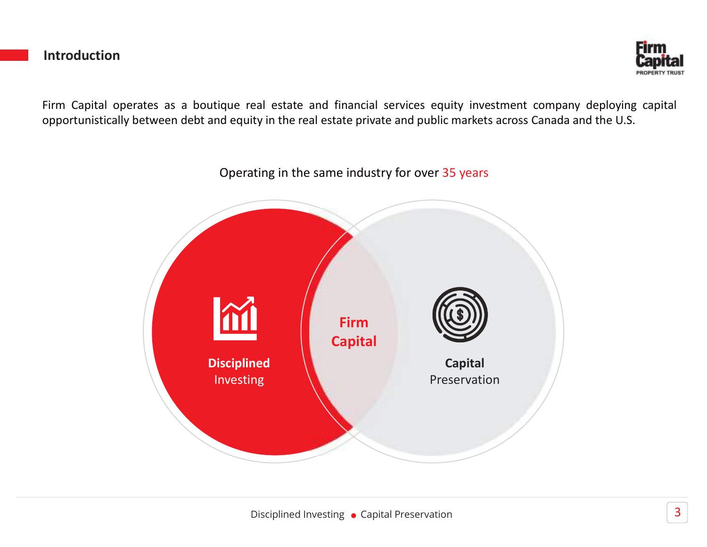#### Introduction



**Firm**<br>Firm Capital operates as a boutique real estate and financial services equity investment company deploying capital<br>opportunistically between debt and equity in the real estate private and public markets across Canad **Circuit Conduction**<br>Firm Capital operates as a boutique real estate and financial services equity investment company deploying capital<br>opportunistically between debt and equity in the real estate private and public market

Operating in the same industry for over 35 years

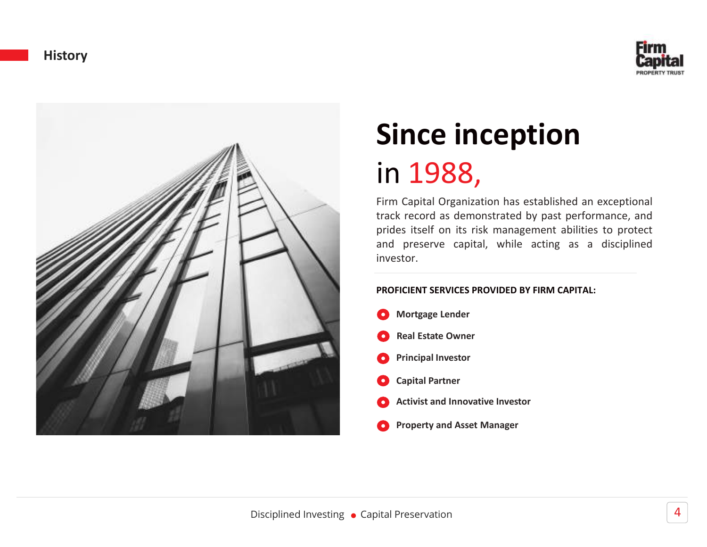



## Since inception in 1988,

**Since inception**<br> **Since inception**<br>
in 1988,<br>
Firm Capital Organization has established an exceptional<br>
track record as demonstrated by past performance, and<br>
prides itself on its risk management abilities to protect<br>
an **Since inception**<br> **Since inception**<br>
in 1988,<br>
Firm Capital Organization has established an exceptional<br>
prides itself on its risk management abilities to protect<br>
and preserve capital, while acting as a disciplined<br>
inve **Since inception**<br>**Since inception**<br>in 1988,<br>Firm Capital Organization has established an exceptional<br>track record as demonstrated by past performance, and<br>prides itself on its risk management abilities to protect<br>and pres **Since inception**<br> **Since inception**<br> **in 1988,**<br>
Firm Capital Organization has established an exceptional<br>
track record as demonstrated by past performance, and<br>
prides itself on its risk management abilities to protect<br> investor.

#### PROFICIENT SERVICES PROVIDED BY FIRM CAPITAL:

Mortgage Lender Real Estate OwnerPrincipal Investor Capital Partner Activist and Innovative Investor Property and Asset Manager O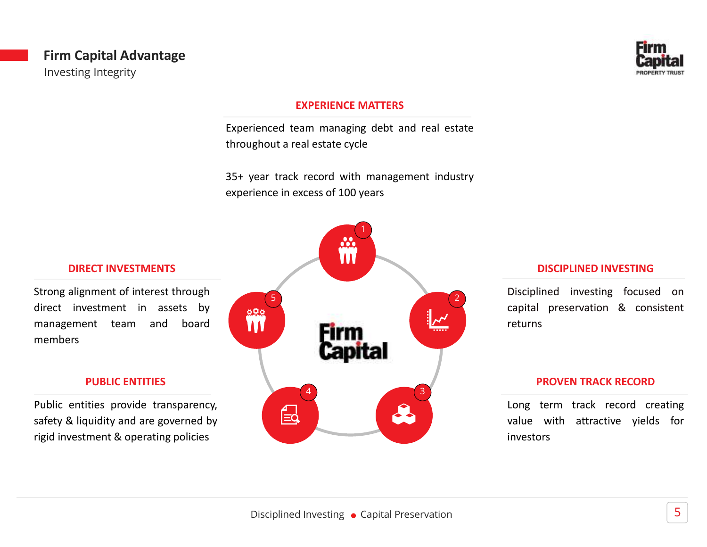#### Firm Capital Advantage Investing Integrity



#### EXPERIENCE MATTERS

EXPERIENCE MATTERS<br>
Experienced team managing debt and real estate<br>
Experienced team managing debt and real estate<br>
S5+ year track record with management industry<br>
experience in excess of 100 years

EXPERIENCE MATTERS<br>Experienced team managing debt and real estate<br>throughout a real estate cycle<br>35+ year track record with management industry<br>experience in excess of 100 years EXPERIENCE MATTERS<br>
Experienced team managing debt and real estate<br>
throughout a real estate cycle<br>
35+ year track record with management industry<br>
experience in excess of 100 years



#### DISCIPLINED INVESTING

PROPERTY TRUST<br>DISCIPLINED INVESTING<br>Disciplined investing focused on<br>capital preservation & consistent<br>returns DISCIPLINED INVESTING<br>Disciplined investing focused on<br>capital preservation & consistent<br>returns returns DISCIPLINED INVESTING<br>Disciplined investing focused on<br>capital preservation & consistent<br>returns<br>PROVEN TRACK RECORD<br>Long term track record creating<br>value with attractive yields for<br>investors **DISCIPLINED INVESTING**<br>Disciplined investing focused on<br>capital preservation & consistent<br>returns<br>**PROVEN TRACK RECORD**<br>Long term track record creating<br>value with attractive yields for<br>investors Disciplined investing focused on<br>capital preservation & consistent

#### PROVEN TRACK RECORD

investors

#### DIRECT INVESTMENTS

members

#### PUBLIC ENTITIES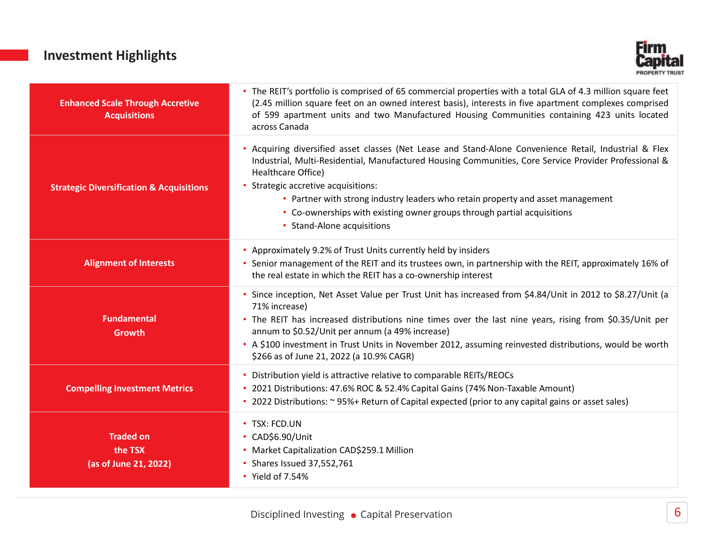#### Investment Highlights



| <b>Investment Highlights</b>                                   | <b>Firm</b>                                                                                                                                                                                                                                                                                                                                                                                                                                                              |
|----------------------------------------------------------------|--------------------------------------------------------------------------------------------------------------------------------------------------------------------------------------------------------------------------------------------------------------------------------------------------------------------------------------------------------------------------------------------------------------------------------------------------------------------------|
| <b>Enhanced Scale Through Accretive</b><br><b>Acquisitions</b> | • The REIT's portfolio is comprised of 65 commercial properties with a total GLA of 4.3 million square feet<br>(2.45 million square feet on an owned interest basis), interests in five apartment complexes comprised<br>of 599 apartment units and two Manufactured Housing Communities containing 423 units located<br>across Canada                                                                                                                                   |
| <b>Strategic Diversification &amp; Acquisitions</b>            | • Acquiring diversified asset classes (Net Lease and Stand-Alone Convenience Retail, Industrial & Flex<br>Industrial, Multi-Residential, Manufactured Housing Communities, Core Service Provider Professional &<br>Healthcare Office)<br>• Strategic accretive acquisitions:<br>• Partner with strong industry leaders who retain property and asset management<br>• Co-ownerships with existing owner groups through partial acquisitions<br>• Stand-Alone acquisitions |
| <b>Alignment of Interests</b>                                  | • Approximately 9.2% of Trust Units currently held by insiders<br>• Senior management of the REIT and its trustees own, in partnership with the REIT, approximately 16% of<br>the real estate in which the REIT has a co-ownership interest                                                                                                                                                                                                                              |
| <b>Fundamental</b><br>Growth                                   | · Since inception, Net Asset Value per Trust Unit has increased from \$4.84/Unit in 2012 to \$8.27/Unit (a<br>71% increase)<br>• The REIT has increased distributions nine times over the last nine years, rising from \$0.35/Unit per<br>annum to \$0.52/Unit per annum (a 49% increase)<br>• A \$100 investment in Trust Units in November 2012, assuming reinvested distributions, would be worth<br>\$266 as of June 21, 2022 (a 10.9% CAGR)                         |
| <b>Compelling Investment Metrics</b>                           | • Distribution yield is attractive relative to comparable REITs/REOCs<br>• 2021 Distributions: 47.6% ROC & 52.4% Capital Gains (74% Non-Taxable Amount)<br>• 2022 Distributions: ~ 95%+ Return of Capital expected (prior to any capital gains or asset sales)                                                                                                                                                                                                           |
| <b>Traded on</b><br>the TSX<br>(as of June 21, 2022)           | • TSX: FCD.UN<br>• CAD\$6.90/Unit<br>• Market Capitalization CAD\$259.1 Million<br>• Shares Issued 37,552,761<br>• Yield of 7.54%                                                                                                                                                                                                                                                                                                                                        |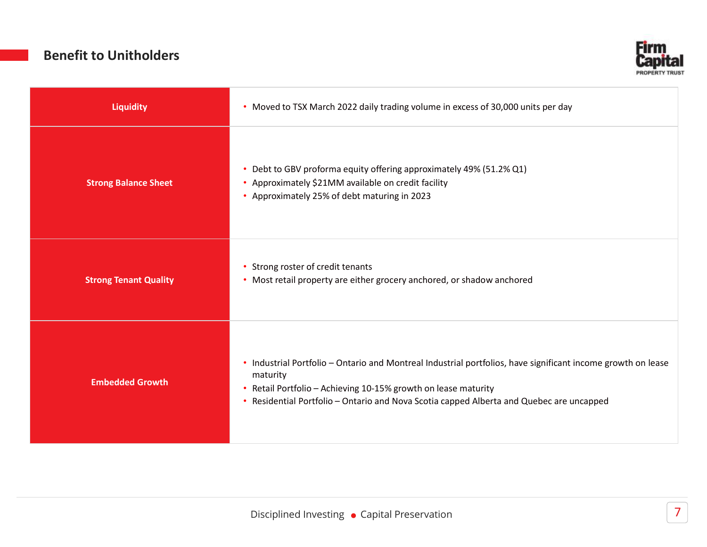#### Benefit to Unitholders



| <b>Benefit to Unitholders</b> | <b>Firm</b>                                                                                                                                                                                                                                                                            |
|-------------------------------|----------------------------------------------------------------------------------------------------------------------------------------------------------------------------------------------------------------------------------------------------------------------------------------|
| <b>Liquidity</b>              | Capital<br><b>PROPERTY TRUST</b><br>• Moved to TSX March 2022 daily trading volume in excess of 30,000 units per day                                                                                                                                                                   |
| <b>Strong Balance Sheet</b>   | Debt to GBV proforma equity offering approximately 49% (51.2% Q1)<br>• Approximately \$21MM available on credit facility<br>• Approximately 25% of debt maturing in 2023                                                                                                               |
| <b>Strong Tenant Quality</b>  | • Strong roster of credit tenants<br>• Most retail property are either grocery anchored, or shadow anchored                                                                                                                                                                            |
| <b>Embedded Growth</b>        | • Industrial Portfolio - Ontario and Montreal Industrial portfolios, have significant income growth on lease<br>maturity<br>• Retail Portfolio - Achieving 10-15% growth on lease maturity<br>• Residential Portfolio - Ontario and Nova Scotia capped Alberta and Quebec are uncapped |
|                               |                                                                                                                                                                                                                                                                                        |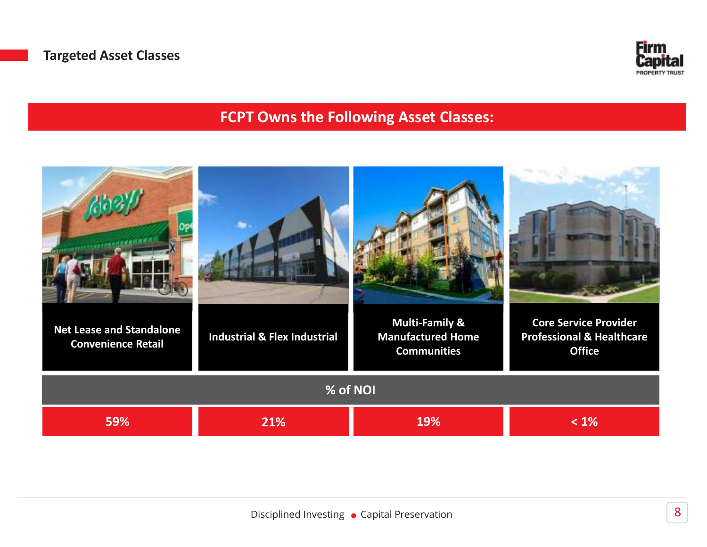

### FCPT Owns the Following Asset Classes:

| <b>Net Lease and Standalone</b><br><b>Convenience Retail</b> | <b>Industrial &amp; Flex Industrial</b> | <b>Multi-Family &amp;</b><br><b>Manufactured Home</b><br><b>Communities</b> | <b>Core Service Provider</b><br><b>Professional &amp; Healthcare</b><br><b>Office</b> |  |  |  |
|--------------------------------------------------------------|-----------------------------------------|-----------------------------------------------------------------------------|---------------------------------------------------------------------------------------|--|--|--|
| % of NOI                                                     |                                         |                                                                             |                                                                                       |  |  |  |
| 59%                                                          | 21%                                     | 19%                                                                         | $< 1\%$                                                                               |  |  |  |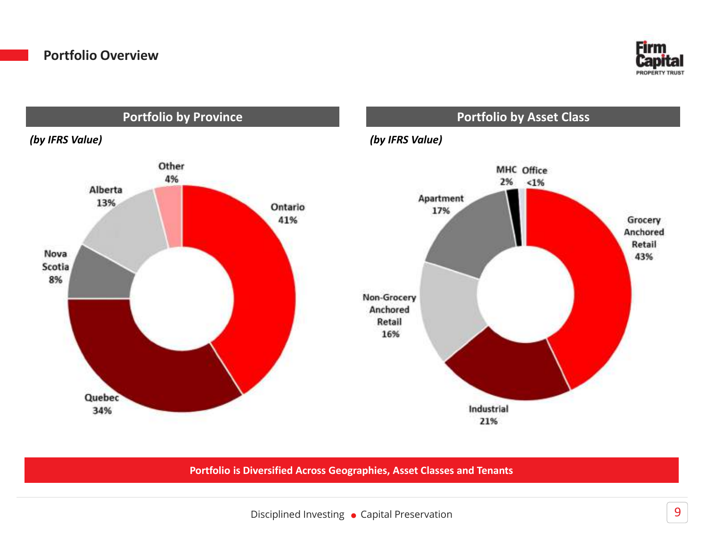



Portfolio is Diversified Across Geographies, Asset Classes and Tenants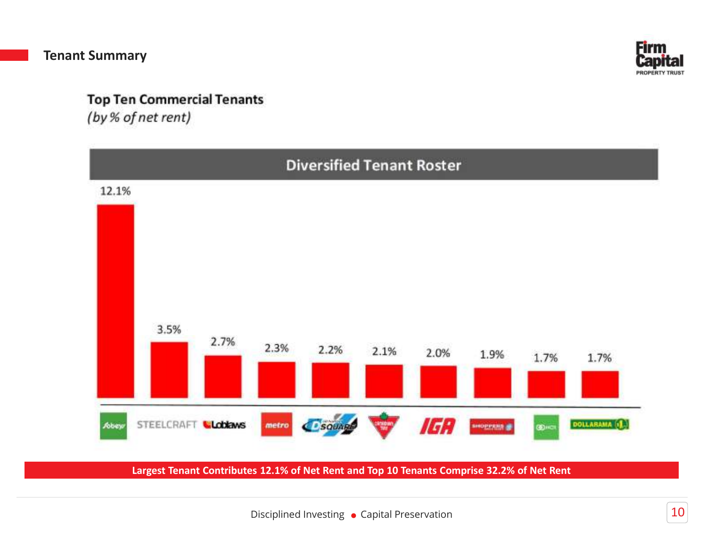

#### **Top Ten Commercial Tenants**

(by % of net rent)



Largest Tenant Contributes 12.1% of Net Rent and Top 10 Tenants Comprise 32.2% of Net Rent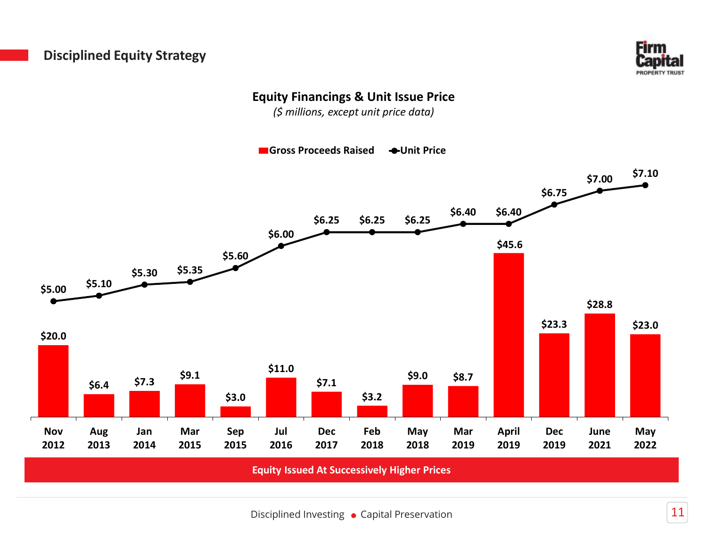#### Disciplined Equity Strategy



#### Equity Financings & Unit Issue Price

(\$ millions, except unit price data)

Gross Proceeds Raised 
Subsettingular Orbit Price

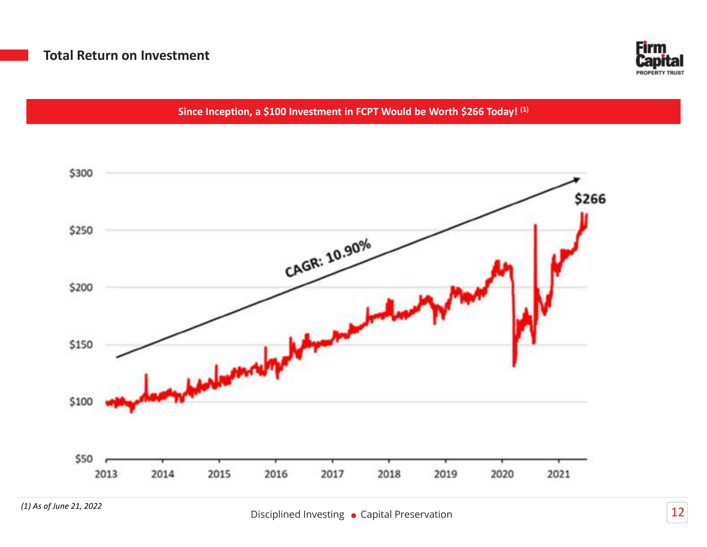

Since Inception, a \$100 Investment in FCPT Would be Worth \$266 Today! (1)

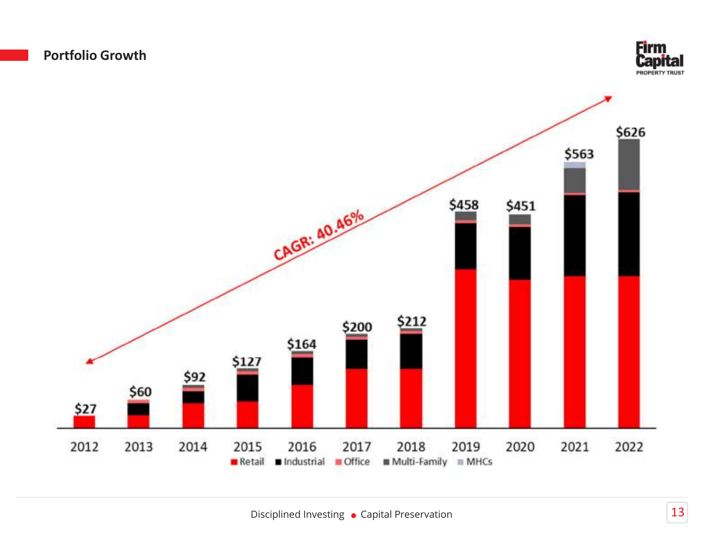



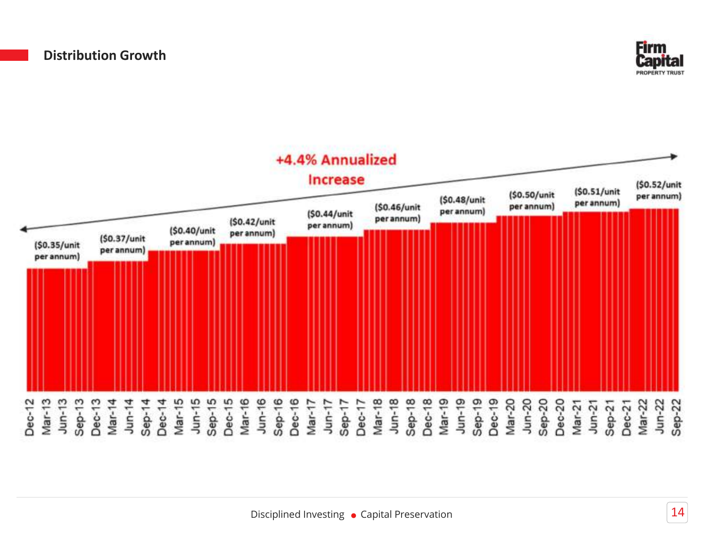

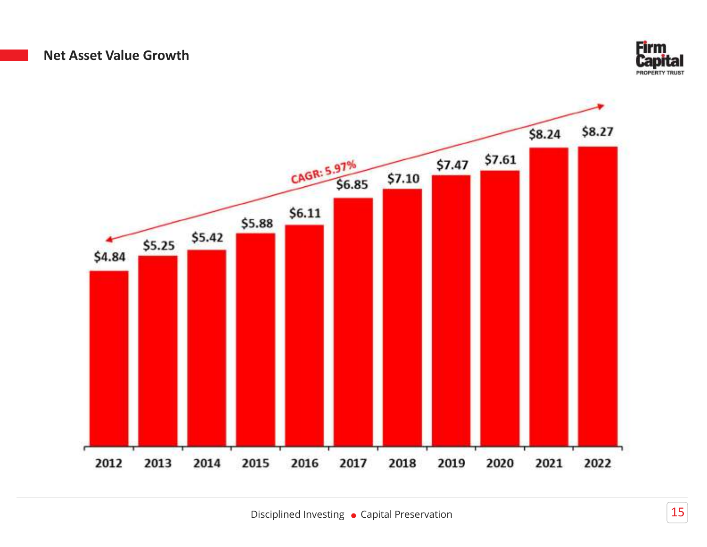#### Net Asset Value Growth



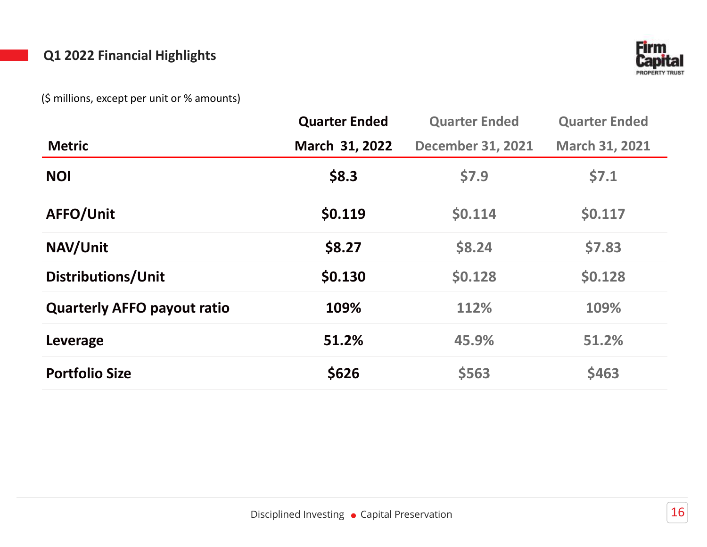#### Q1 2022 Financial Highlights



|                                             |                      |                          | <b>Firm</b>                             |
|---------------------------------------------|----------------------|--------------------------|-----------------------------------------|
| Q1 2022 Financial Highlights                |                      |                          | <b>Capital</b><br><b>PROPERTY TRUST</b> |
| (\$ millions, except per unit or % amounts) |                      |                          |                                         |
|                                             | <b>Quarter Ended</b> | <b>Quarter Ended</b>     | <b>Quarter Ended</b>                    |
| <b>Metric</b>                               | March 31, 2022       | <b>December 31, 2021</b> | March 31, 2021                          |
| <b>NOI</b>                                  | \$8.3                | \$7.9                    | \$7.1                                   |
| AFFO/Unit                                   | \$0.119              | \$0.114                  | \$0.117                                 |
| NAV/Unit                                    | \$8.27               | \$8.24                   | \$7.83                                  |
| Distributions/Unit                          | \$0.130              | \$0.128                  | \$0.128                                 |
| <b>Quarterly AFFO payout ratio</b>          | 109%                 | 112%                     | 109%                                    |
| Leverage                                    | 51.2%                | 45.9%                    | 51.2%                                   |
| <b>Portfolio Size</b>                       | \$626                | \$563                    | \$463                                   |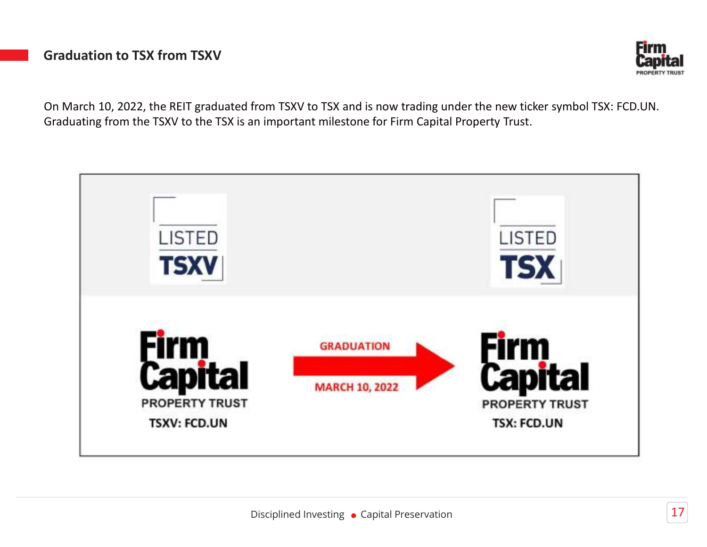#### Graduation to TSX from TSXV



**Graduation to TSX from TSXV**<br> **Capital**<br>
On March 10, 2022, the REIT graduated from TSXV to TSX and is now trading under the new ticker symbol TSX: FCD.UN.<br>
Graduating from the TSXV to the TSX is an important milestone fo

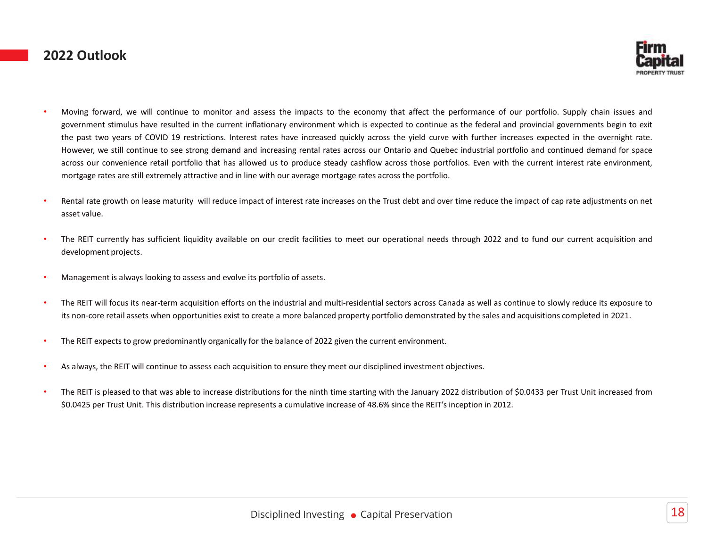#### 2022 Outlook



- **Eirm**<br>• Moving forward, we will continue to monitor and assess the impacts to the economy that affect the performance of our portfolio. Supply chain issues and<br>• government stimulus have resulted in the current inflationa **EFITM**<br>Moving forward, we will continue to monitor and assess the impacts to the economy that affect the performance of our portfolio. Supply chain issues and<br>government stimulus have resulted in the current inflationary **Example 12 Outlook**<br> **CAVID 19 restrictions**<br> **CAVID 19 restrictions** and assess the impacts to the economy that affect the performance of our portfolio. Supply chain issues and<br>
government stimulus have resulted in the c **EVALUATEST COURTS COURTS COURTS COURTS COURTS COURTS COURTS COURTS COURTS COURTS COURTS COURTS COURTS COURTS COURTS AND INCREASE THE SURFER COURTS AND INCREASE THE SURFER ON THE SURFER ON MANY COURTS AND INCREASE THE SURF Example 22 Outlook**<br>Moving forward, we will continue to monitor and assess the impacts to the economy that affect the performance of our portfolio. Supply chain issues and<br>government stimulus have resulted in the current **Eliminate COLOGY CONSULTER**<br>
Moving forward, we will continue to monitor and assess the impacts to the economy that affect the performance of our portfolio. Supply chain issues and<br>
government stimulus have resulted in th **EVANDER SECT VALUAT CONSULTER CONSULTER CONSULTER CONSULTER CONSULTER CONSULTER CONSULTER CONSULTER CONSULTER CONSULTER CONSULTER CONSULTER CONSULTER CONSULTER CONSULTER CONSULTER CONSULTER CONSULTER CONSULTER CONSULTER C** 2022 Outlook<br>
Moving forward, we will continue to monitor and assess the impacts to the economy that affect the performance of our portfolio. Supply chan issues and<br>
generation since the such that the current intervent and Moong forward, we will continue to montar and assess the impacts to the economy that affect the performance of our portfolio, supply chan issues and<br>government Schultz the resultation the current inflatonaly environment wh
- 
- 
- 
- Rental rate growth on lease maturity will reduce impact of interest rate increases on the Trust debt and over time reduce the impact of cap rate adjustments on net asset value.<br>The REIT currently has sufficient liquidity a
- 
- 
-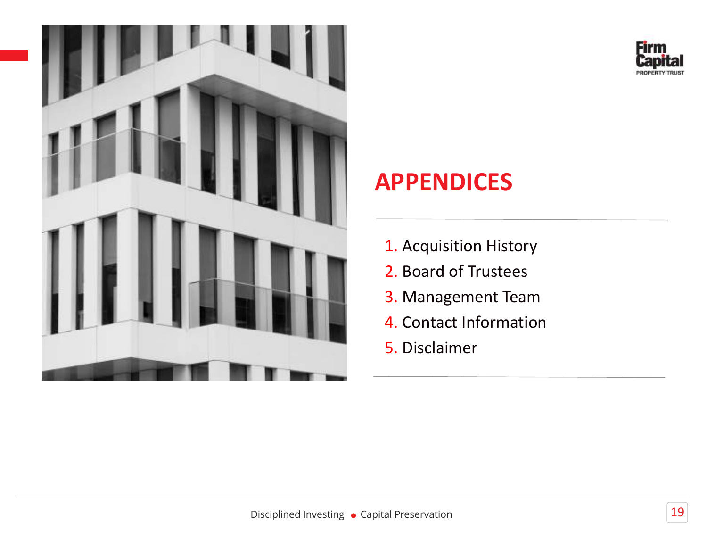



# APPENDICES **Eirm<br>Capital<br>1. Acquisition History<br>2. Board of Trustees<br>3. Management Team Expital<br>
PPENDICES**<br>
2. Board of Trustees<br>
3. Management Team<br>
4. Contact Information **SPPENDICES<br>1. Acquisition History<br>2. Board of Trustees<br>3. Management Team<br>4. Contact Information<br>5. Disclaimer APPENDICES<br>
1. Acquisition History<br>
2. Board of Trustees<br>
3. Management Team<br>
4. Contact Information<br>
5. Disclaimer**

- 
- 
- 
- 
- 5. Disclaimer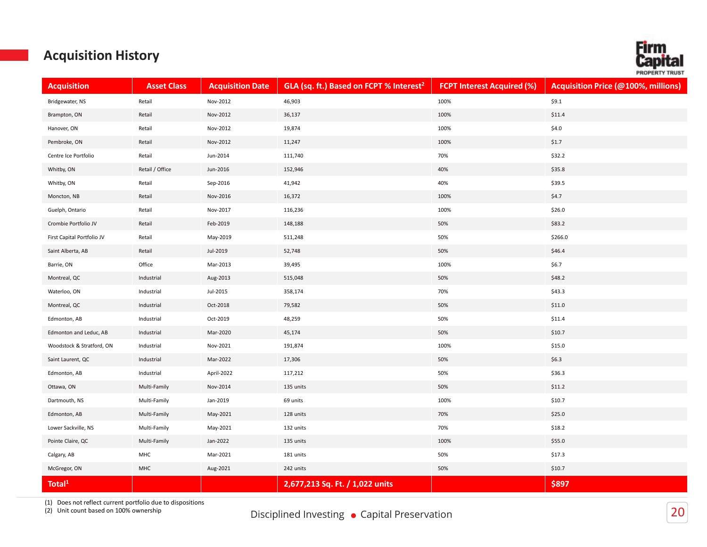#### Acquisition History

|                                        | <b>Acquisition History</b> |                         |                                                     |                                   |                                            | <b>Firm</b><br>Cap    |
|----------------------------------------|----------------------------|-------------------------|-----------------------------------------------------|-----------------------------------|--------------------------------------------|-----------------------|
| <b>Acquisition</b>                     | <b>Asset Class</b>         | <b>Acquisition Date</b> | GLA (sq. ft.) Based on FCPT % Interest <sup>2</sup> | <b>FCPT Interest Acquired (%)</b> | <b>Acquisition Price (@100%, millions)</b> | <b>PROPERTY TRUST</b> |
| Bridgewater, NS                        | Retail                     | Nov-2012                | 46,903                                              | 100%                              | \$9.1                                      |                       |
| Brampton, ON                           | Retail                     | Nov-2012                | 36,137                                              | 100%                              | \$11.4                                     |                       |
| Hanover, ON                            | Retail                     | Nov-2012                | 19,874                                              | 100%                              | \$4.0                                      |                       |
| Pembroke, ON                           | Retail                     | Nov-2012                | 11,247                                              | 100%                              | \$1.7                                      |                       |
| Centre Ice Portfolio                   | Retail                     | Jun-2014                | 111,740                                             | 70%                               | \$32.2                                     |                       |
| Whitby, ON                             | Retail / Office            | Jun-2016                | 152,946                                             | 40%                               | \$35.8                                     |                       |
| Whitby, ON                             | Retail                     | Sep-2016                | 41,942                                              | 40%                               | \$39.5                                     |                       |
| Moncton, NB                            | Retail                     | Nov-2016                | 16,372                                              | 100%                              | \$4.7                                      |                       |
| Guelph, Ontario                        | Retail                     | Nov-2017                | 116,236                                             | 100%                              | \$26.0                                     |                       |
| Crombie Portfolio JV                   | Retail                     | Feb-2019                | 148,188                                             | 50%                               | \$83.2                                     |                       |
| First Capital Portfolio JV             | Retail                     | May-2019                | 511,248                                             | 50%                               | \$266.0                                    |                       |
| Saint Alberta, AB                      | Retail                     | Jul-2019                | 52,748                                              | 50%                               | \$46.4                                     |                       |
| Barrie, ON                             | Office                     | Mar-2013                | 39,495                                              | 100%                              | \$6.7                                      |                       |
| Montreal, QC                           | Industrial                 | Aug-2013                | 515,048                                             | 50%                               | \$48.2                                     |                       |
| Waterloo, ON                           | Industrial                 | Jul-2015                | 358,174                                             | 70%                               | \$43.3                                     |                       |
| Montreal, QC                           | Industrial<br>Industrial   | Oct-2018<br>Oct-2019    | 79,582<br>48,259                                    | 50%<br>50%                        | \$11.0<br>\$11.4                           |                       |
| Edmonton, AB<br>Edmonton and Leduc, AB | Industrial                 | Mar-2020                | 45,174                                              | 50%                               | \$10.7                                     |                       |
| Woodstock & Stratford, ON              | Industrial                 | Nov-2021                | 191,874                                             | 100%                              | \$15.0                                     |                       |
| Saint Laurent, QC                      | Industrial                 | Mar-2022                | 17,306                                              | 50%                               | \$6.3                                      |                       |
| Edmonton, AB                           | Industrial                 | April-2022              | 117,212                                             | 50%                               | \$36.3                                     |                       |
| Ottawa, ON                             | Multi-Family               | Nov-2014                | 135 units                                           | 50%                               | \$11.2                                     |                       |
| Dartmouth, NS                          | Multi-Family               | Jan-2019                | 69 units                                            | 100%                              | \$10.7                                     |                       |
| Edmonton, AB                           | Multi-Family               | May-2021                | 128 units                                           | 70%                               | \$25.0                                     |                       |
| Lower Sackville, NS                    | Multi-Family               | May-2021                | 132 units                                           | 70%                               | \$18.2                                     |                       |
| Pointe Claire, QC                      | Multi-Family               | Jan-2022                | 135 units                                           | 100%                              | \$55.0                                     |                       |
| Calgary, AB                            | MHC                        | Mar-2021                | 181 units                                           | 50%                               | \$17.3                                     |                       |
| McGregor, ON                           | MHC                        | Aug-2021                | 242 units                                           | 50%                               | \$10.7                                     |                       |
| Total <sup>1</sup>                     |                            |                         | 2,677,213 Sq. Ft. / 1,022 units                     |                                   | \$897                                      |                       |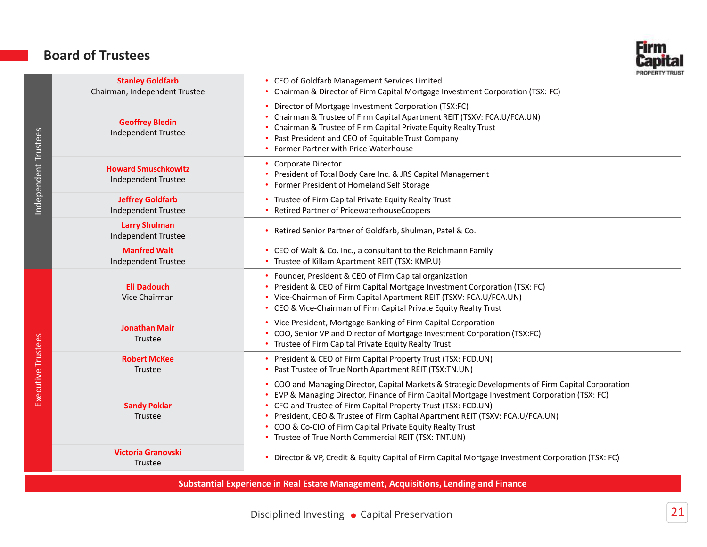#### Board of Trustees



| Independent Trustees | <b>Stanley Goldfarb</b>                                                               | PRUPERTY IRUST<br>CEO of Goldfarb Management Services Limited                                                                                                                                                                                                                                                                                                                                                                                                            |
|----------------------|---------------------------------------------------------------------------------------|--------------------------------------------------------------------------------------------------------------------------------------------------------------------------------------------------------------------------------------------------------------------------------------------------------------------------------------------------------------------------------------------------------------------------------------------------------------------------|
|                      | Chairman, Independent Trustee<br><b>Geoffrey Bledin</b><br><b>Independent Trustee</b> | Chairman & Director of Firm Capital Mortgage Investment Corporation (TSX: FC)<br>Director of Mortgage Investment Corporation (TSX:FC)<br>Chairman & Trustee of Firm Capital Apartment REIT (TSXV: FCA.U/FCA.UN)<br>Chairman & Trustee of Firm Capital Private Equity Realty Trust<br>• Past President and CEO of Equitable Trust Company<br>• Former Partner with Price Waterhouse                                                                                       |
|                      | <b>Howard Smuschkowitz</b><br><b>Independent Trustee</b>                              | Corporate Director<br>• President of Total Body Care Inc. & JRS Capital Management<br>• Former President of Homeland Self Storage                                                                                                                                                                                                                                                                                                                                        |
|                      | <b>Jeffrey Goldfarb</b><br><b>Independent Trustee</b>                                 | • Trustee of Firm Capital Private Equity Realty Trust<br>• Retired Partner of PricewaterhouseCoopers                                                                                                                                                                                                                                                                                                                                                                     |
|                      | <b>Larry Shulman</b><br>Independent Trustee                                           | • Retired Senior Partner of Goldfarb, Shulman, Patel & Co.                                                                                                                                                                                                                                                                                                                                                                                                               |
|                      | <b>Manfred Walt</b><br><b>Independent Trustee</b>                                     | • CEO of Walt & Co. Inc., a consultant to the Reichmann Family<br>• Trustee of Killam Apartment REIT (TSX: KMP.U)                                                                                                                                                                                                                                                                                                                                                        |
|                      | <b>Eli Dadouch</b><br>Vice Chairman                                                   | • Founder, President & CEO of Firm Capital organization<br>• President & CEO of Firm Capital Mortgage Investment Corporation (TSX: FC)<br>• Vice-Chairman of Firm Capital Apartment REIT (TSXV: FCA.U/FCA.UN)<br>CEO & Vice-Chairman of Firm Capital Private Equity Realty Trust                                                                                                                                                                                         |
|                      | <b>Jonathan Mair</b><br>Trustee                                                       | • Vice President, Mortgage Banking of Firm Capital Corporation<br>COO, Senior VP and Director of Mortgage Investment Corporation (TSX:FC)<br>• Trustee of Firm Capital Private Equity Realty Trust                                                                                                                                                                                                                                                                       |
|                      | <b>Robert McKee</b><br><b>Trustee</b>                                                 | • President & CEO of Firm Capital Property Trust (TSX: FCD.UN)<br>• Past Trustee of True North Apartment REIT (TSX:TN.UN)                                                                                                                                                                                                                                                                                                                                                |
| Executive Trustees   | <b>Sandy Poklar</b><br><b>Trustee</b>                                                 | COO and Managing Director, Capital Markets & Strategic Developments of Firm Capital Corporation<br>EVP & Managing Director, Finance of Firm Capital Mortgage Investment Corporation (TSX: FC)<br>• CFO and Trustee of Firm Capital Property Trust (TSX: FCD.UN)<br>• President, CEO & Trustee of Firm Capital Apartment REIT (TSXV: FCA.U/FCA.UN)<br>• COO & Co-CIO of Firm Capital Private Equity Realty Trust<br>• Trustee of True North Commercial REIT (TSX: TNT.UN) |
|                      | <b>Victoria Granovski</b><br>Trustee                                                  | • Director & VP, Credit & Equity Capital of Firm Capital Mortgage Investment Corporation (TSX: FC)                                                                                                                                                                                                                                                                                                                                                                       |
|                      |                                                                                       |                                                                                                                                                                                                                                                                                                                                                                                                                                                                          |

Substantial Experience in Real Estate Management, Acquisitions, Lending and Finance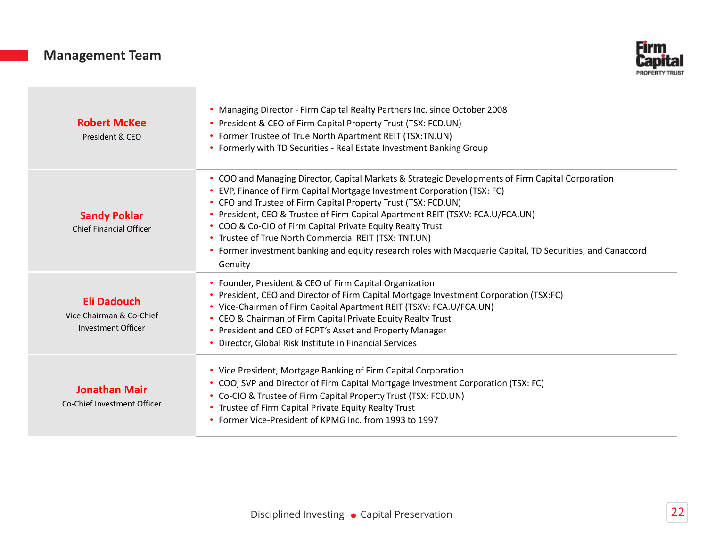#### Management Team



| <b>Management Team</b>                                               | Firm<br><b>ROPERTY TRUS</b>                                                                                                                                                                                                                                                                                                                                                                                                                                                                                                                                                       |
|----------------------------------------------------------------------|-----------------------------------------------------------------------------------------------------------------------------------------------------------------------------------------------------------------------------------------------------------------------------------------------------------------------------------------------------------------------------------------------------------------------------------------------------------------------------------------------------------------------------------------------------------------------------------|
| <b>Robert McKee</b><br>President & CEO                               | . Managing Director - Firm Capital Realty Partners Inc. since October 2008<br>• President & CEO of Firm Capital Property Trust (TSX: FCD.UN)<br>• Former Trustee of True North Apartment REIT (TSX:TN.UN)<br>• Formerly with TD Securities - Real Estate Investment Banking Group                                                                                                                                                                                                                                                                                                 |
| <b>Sandy Poklar</b><br><b>Chief Financial Officer</b>                | • COO and Managing Director, Capital Markets & Strategic Developments of Firm Capital Corporation<br>• EVP, Finance of Firm Capital Mortgage Investment Corporation (TSX: FC)<br>• CFO and Trustee of Firm Capital Property Trust (TSX: FCD.UN)<br>• President, CEO & Trustee of Firm Capital Apartment REIT (TSXV: FCA.U/FCA.UN)<br>• COO & Co-CIO of Firm Capital Private Equity Realty Trust<br>• Trustee of True North Commercial REIT (TSX: TNT.UN)<br>• Former investment banking and equity research roles with Macquarie Capital, TD Securities, and Canaccord<br>Genuity |
| <b>Eli Dadouch</b><br>Vice Chairman & Co-Chief<br>Investment Officer | • Founder, President & CEO of Firm Capital Organization<br>• President, CEO and Director of Firm Capital Mortgage Investment Corporation (TSX:FC)<br>• Vice-Chairman of Firm Capital Apartment REIT (TSXV: FCA.U/FCA.UN)<br>• CEO & Chairman of Firm Capital Private Equity Realty Trust<br>• President and CEO of FCPT's Asset and Property Manager<br>• Director, Global Risk Institute in Financial Services                                                                                                                                                                   |
| <b>Jonathan Mair</b><br>Co-Chief Investment Officer                  | • Vice President, Mortgage Banking of Firm Capital Corporation<br>• COO, SVP and Director of Firm Capital Mortgage Investment Corporation (TSX: FC)<br>• Co-CIO & Trustee of Firm Capital Property Trust (TSX: FCD.UN)<br>• Trustee of Firm Capital Private Equity Realty Trust<br>• Former Vice-President of KPMG Inc. from 1993 to 1997                                                                                                                                                                                                                                         |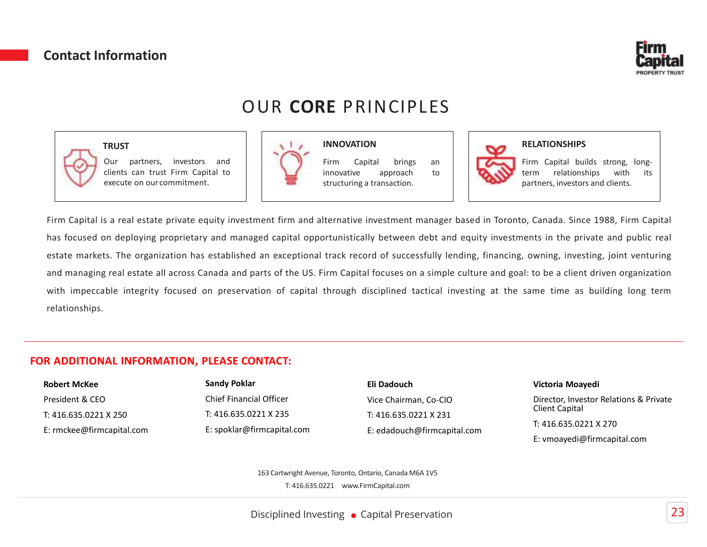#### Contact Information



### OUR CORE PRINCIPLES

INNOVATION



#### **TRUST**





#### RELATIONSHIPS

Firm<br>
Capital<br>
PROPERTY TRUST<br>
FIFM Capital builds strong, long-<br>
Term relationships with its<br>
partners, investors and clients.<br>
O, Canada. Since 1988, Firm Capital **Capital**<br>**Capital**<br>**RELATIONSHIPS**<br>Firm Capital builds strong, long-<br>term relationships with its<br>partners, investors and clients.<br>O, Canada. Since 1988, Firm Capital<br>ents in the private and public real

FRUST<br>
Firm Capital is a real estate minus firm Capital to<br>
execute on our commitment.<br>
Firm Capital is a real estate private equity investment firm and alternative impersant<br>
How the structuring a transaction.<br>
The Capita Firm Capital is a real estate private equity investment firm and alternative investment manager based in Toronto, Canada. Since 1988, Firm Capital is a real estate private equity investment firm and alternative investment CORE PRINCIPLES<br>
TRUST<br>
TRUST<br>
Our partners, investors and<br>
occuse on ture or minichants.<br>
EFITH Capital builds strong, long-<br>
occute on our commitment.<br>
EFITH Capital is a real estate private equity investment firm and al Examples and more interest markets, investors and an exceptible to the organization.<br>
Firm Capital is a real estate private equity investment firm and alternative investment manager based in Toronto, Canada. Since 1988, Fi Contact Information<br>
TRUST<br>
TRUST<br>
TRUST<br>
TRUST<br>
Capital estate an tuxe Firm Capital to and the Capital to the metal original brings<br>
cherats can tuxe Firm Capital to the US. Firm Capital for the US. Firm Capital for the U WHIT INST TRUST<br>
TRUST<br>
WERE PRINCIPLES<br>
THE CORRE PRINCIPLES<br>
Clearls can trust firm Gapital to discussed and the constrained to the constrained on our committent.<br>
Firm Gapital is a real estate private equity investment relationships. FRUST<br>
TRUST<br>
Our partners, investors and<br>
Clients can trust Firm Capital to<br>
Elents can trust Firm Capital to<br>
Elents can trust Firm Capital to<br>
Elents can trust Firm Capital to<br>
sexecute on our commitment.<br>
So a real est FRIST<br>
TRUST<br>
OUR CORE PRINCIPLES<br>
Our partners, investors and<br>
Clients can trust Firm Capital to<br>
Clients can trust Firm Capital to<br>
sexecute on our committent.<br>
Sexecute on our committent.<br>
Sexecute on the private equity FINCIPLE<br>
TRUST<br>
OUR CORE PRINCIPLE<br>
TRUST<br>
Execute on our commitment.<br>
Sexecute on our commitment.<br>
Sexecute on our commitment.<br>
Sexecute on our commitment.<br>
Sexecute on our commitment.<br>
Sexecute on our commitment.<br>
Sexec E PRINCIPLES<br>
INNOVATION<br>
Firm Capital brings an<br>
Innovative approach to partners, investors and clients.<br>
Etructuring a transaction.<br>
Etructuring a transaction.<br>
Etructuring a transaction.<br>
Letrnative investment manager b **E PRINCIPLES**<br> **E PRINCIPLES**<br> **E PRINCIPLES**<br> **E PRINCIPLES**<br> **EXELATIONSHIPS**<br> **EFICITE AND CONSUMED AND PRELATIONSHIPS**<br> **EFICITE AND PRINCIPLES**<br> **EFICITE AND PRINCIPLES**<br> **EFICITE AND PRINCIPLES**<br> **EFICITE AND PRINCI EPRINCIPLES**<br> **EPRINCIPLES**<br> **EPRINCIPLES**<br> **ELATIONSHIPS**<br> **ELATIONSHIPS**<br> **ELATIONSHIPS**<br>
Firm capital brings an<br>
structuring a transaction.<br> **ELATIONSHIPS**<br>
Firm capital builds strong, long-<br>
partners, investors and cl **Eirm**<br> **Capital**<br>
PROPERTY TRUST<br>
RELATIONSHIPS<br>
Firm Capital builds strong, long-<br>
term relationships with its<br>
partners, investors and clients.<br>
O, Canada. Since 1988, Firm Capital<br>
ents in the private and public real

| <b>Robert McKee</b>       | <b>Sandy Poklar</b>            | Eli Dadouch                 | Victoria Moayedi                       |  |
|---------------------------|--------------------------------|-----------------------------|----------------------------------------|--|
| President & CEO           | <b>Chief Financial Officer</b> | Vice Chairman, Co-CIO       | Director, Investor Relations & Private |  |
| T: 416.635.0221 X 250     | T: 416.635.0221 X 235          | T: 416.635.0221 X 231       | Client Capital                         |  |
| E: rmckee@firmcapital.com | E: spoklar@firmcapital.com     | E: edadouch@firmcapital.com | T: 416.635.0221 X 270                  |  |
|                           |                                |                             | E: vmoayedi@firmcapital.com            |  |

163 Cartwright Avenue, Toronto, Ontario, Canada M6A 1V5 T: 416.635.0221 www.FirmCapital.com